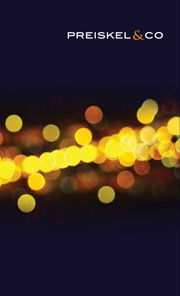### **PREISKEL&CO**

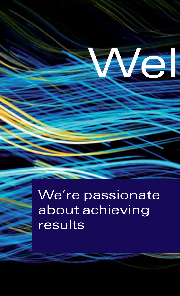

We're passionate about achieving results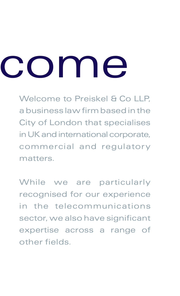# come

Welcome to Preiskel & Co LLP, a business law firm based in the City of London that specialises in UK and international corporate, commercial and regulatory matters.

While we are particularly recognised for our experience in the telecommunications sector, we also have significant expertise across a range of other fields.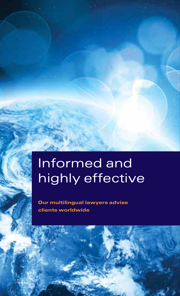# Informed and highly effective

Our multilingual lawyers advise clients worldwide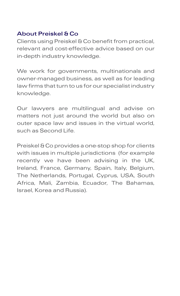### About Preiskel & Co

Clients using Preiskel & Co benefit from practical, relevant and cost-effective advice based on our in-depth industry knowledge.

We work for governments, multinationals and owner-managed business, as well as for leading law firms that turn to us for our specialist industry knowledge.

Our lawyers are multilingual and advise on matters not just around the world but also on outer space law and issues in the virtual world, such as Second Life.

Preiskel & Co provides a one-stop shop for clients with issues in multiple jurisdictions (for example recently we have been advising in the UK, Ireland, France, Germany, Spain, Italy, Belgium, The Netherlands, Portugal, Cyprus, USA, South Africa, Mali, Zambia, Ecuador, The Bahamas, Israel, Korea and Russia).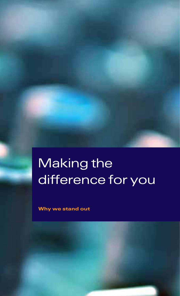# Making the difference for you

Why we stand out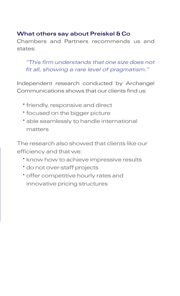### What others say about Preiskel & Co

Chambers and Partners recommends us and states:

### *"This firm understands that one size does not fit all, showing a rare level of pragmatism."*

Independent research conducted by Archangel Communications shows that our clients find us:

- friendly, responsive and direct
- focused on the bigger picture
- able seamlessly to handle international matters

The research also showed that clients like our efficiency and that we:

- know how to achieve impressive results
- do not over-staff projects
- offer competitive hourly rates and innovative pricing structures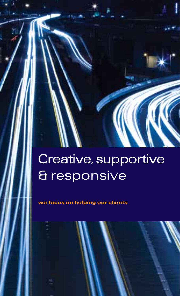# Creative, supportive & responsive

we focus on helping our clients

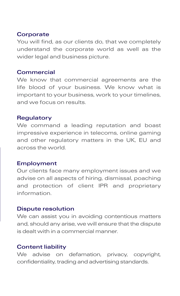#### **Corporate**

You will find, as our clients do, that we completely understand the corporate world as well as the wider legal and business picture.

#### **Commercial**

We know that commercial agreements are the life blood of your business. We know what is important to your business, work to your timelines, and we focus on results.

#### **Regulatory**

We command a leading reputation and boast impressive experience in telecoms, online gaming and other regulatory matters in the UK, EU and across the world.

#### Employment

Our clients face many employment issues and we advise on all aspects of hiring, dismissal, poaching and protection of client IPR and proprietary information.

#### Dispute resolution

We can assist you in avoiding contentious matters and, should any arise, we will ensure that the dispute is dealt with in a commercial manner.

### Content liability

We advise on defamation, privacy, copyright, confidentiality, trading and advertising standards.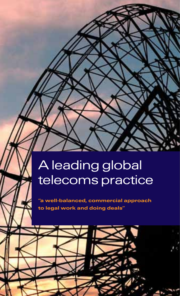## A leading global telecoms practice

"a well-balanced, commercial approach to legal work and doing deals"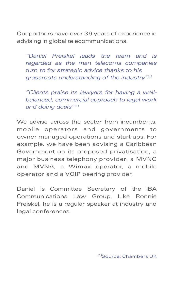Our partners have over 36 years of experience in advising in global telecommunications.

*"Daniel Preiskel leads the team and is regarded as the man telecoms companies turn to for strategic advice thanks to his grassroots understanding of the industry"(1)*

*"Clients praise its lawyers for having a wellbalanced, commercial approach to legal work and doing deals"(1)*

We advise across the sector from incumbents, mobile operators and governments to owner-managed operations and start-ups. For example, we have been advising a Caribbean Government on its proposed privatisation, a major business telephony provider, a MVNO and MVNA, a Wimax operator, a mobile operator and a VOIP peering provider.

Daniel is Committee Secretary of the IBA Communications Law Group. Like Ronnie Preiskel, he is a regular speaker at industry and legal conferences.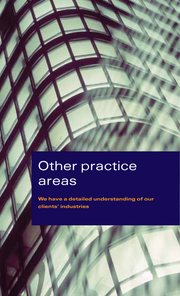## Other practice areas

We have a detailed understanding of our clients' industries

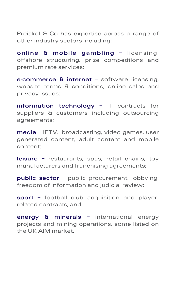Preiskel & Co has expertise across a range of other industry sectors including:

online & mobile gambling - licensing, offshore structuring, prize competitions and premium rate services;

e-commerce & internet – software licensing, website terms & conditions, online sales and privacy issues;

information technology - IT contracts for suppliers & customers including outsourcing agreements;

media – IPTV, broadcasting, video games, user generated content, adult content and mobile content;

leisure - restaurants, spas, retail chains, tov manufacturers and franchising agreements;

public sector - public procurement, lobbying, freedom of information and judicial review;

sport - football club acquisition and playerrelated contracts; and

energy & minerals - international energy projects and mining operations, some listed on the UK AIM market.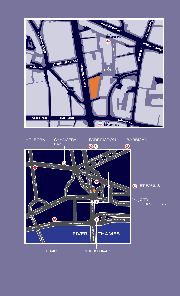

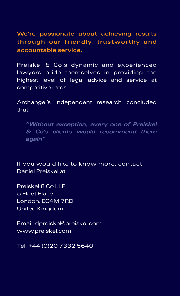We're passionate about achieving results through our friendly, trustworthy and accountable service.

Preiskel & Co's dynamic and experienced lawyers pride themselves in providing the highest level of legal advice and service at competitive rates.

Archangel's independent research concluded that:

*"Without exception, every one of Preiskel & Co's clients would recommend them again"*

If you would like to know more, contact Daniel Preiskel at:

Preiskel & Co LLP 5 Fleet Place London, EC4M 7RD United Kingdom

Email: dpreiskel@preiskel.com www.preiskel.com

Tel: +44 (0)20 7332 5640